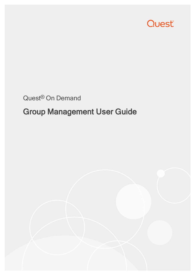

## Quest® On Demand

# Group Management User Guide

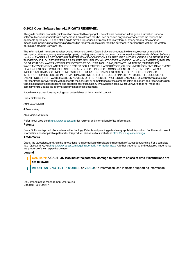### © 2021 Quest Software Inc. ALL RIGHTS RESERVED.

This guide contains proprietary information protected by copyright. The software described in this guide is furnished under a software license or nondisclosure agreement. This software may be used or copied only in accordance with the terms of the applicable agreement. No part of this guide may be reproduced or transmitted in any form or by any means, electronic or mechanical, including photocopying and recording for any purpose other than the purchaser's personal use without the written permission of Quest Software Inc.

The information in this document is provided in connection with Quest Software products. No license, express or implied, by estoppel or otherwise, to any intellectual property right is granted by this document or in connection with the sale of Quest Software products. EXCEPT AS SET FORTH IN THE TERMS AND CONDITIONS AS SPECIFIED IN THE LICENSE AGREEMENT FOR THIS PRODUCT, QUEST SOFTWARE ASSUMES NO LIABILITY WHATSOEVER AND DISCLAIMS ANY EXPRESS, IMPLIED OR STATUTORY WARRANTY RELATING TO ITS PRODUCTS INCLUDING, BUT NOT LIMITED TO, THE IMPLIED WARRANTY OF MERCHANTABILITY, FITNESS FOR A PARTICULAR PURPOSE, OR NON-INFRINGEMENT. IN NO EVENT SHALL QUEST SOFTWARE BE LIABLE FOR ANY DIRECT, INDIRECT, CONSEQUENTIAL, PUNITIVE, SPECIAL OR INCIDENTAL DAMAGES (INCLUDING, WITHOUT LIMITATION, DAMAGES FOR LOSS OF PROFITS, BUSINESS INTERRUPTION OR LOSS OF INFORMATION) ARISING OUT OF THE USE OR INABILITY TO USE THIS DOCUMENT, EVEN IF QUEST SOFTWARE HAS BEEN ADVISED OF THE POSSIBILITY OF SUCH DAMAGES. Quest Software makes no representations or warranties with respect to the accuracy or completeness of the contents of this document and reserves the right to make changes to specifications and product descriptions at any time without notice. Quest Software does not make any commitment to update the information contained in this document.

If you have any questions regarding your potential use of this material, contact:

Quest Software Inc.

Attn: LEGAL Dept

4 Polaris Way

Aliso Viejo, CA 92656

Refer to our Web site ([https://www.quest.com](https://www.quest.com/)) for regional and international office information.

#### Patents

Quest Software is proud of our advanced technology. Patents and pending patents may apply to this product. For the most current information about applicable patents for this product, please visit our website at <https://www.quest.com/legal>.

#### **Trademarks**

Quest, the Quest logo, and Join the Innovation are trademarks and registered trademarks of Quest Software Inc. For a complete list of Quest marks, visit <https://www.quest.com/legal/trademark-information.aspx>. All other trademarks and registered trademarks are property of their respective owners.

#### Legend

- Ţ CAUTION: A CAUTION icon indicates potential damage to hardware or loss of data if instructions are not followed.
- IMPORTANT, NOTE, TIP, MOBILE, or VIDEO: An information icon indicates supporting information. i

On Demand Group Management User Guide Updated - 2021/03/17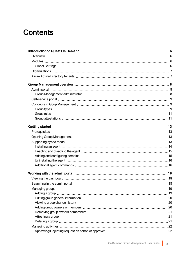## **Contents**

| Working with the admin portal measurement contains the admin portal measurement of the state of the state of the state of the state of the state of the state of the state of the state of the state of the state of the state |  |
|--------------------------------------------------------------------------------------------------------------------------------------------------------------------------------------------------------------------------------|--|
|                                                                                                                                                                                                                                |  |
|                                                                                                                                                                                                                                |  |
|                                                                                                                                                                                                                                |  |
|                                                                                                                                                                                                                                |  |
|                                                                                                                                                                                                                                |  |
| Viewing group change history (and according continuum continuum control and according continuum control of New                                                                                                                 |  |
|                                                                                                                                                                                                                                |  |
|                                                                                                                                                                                                                                |  |
|                                                                                                                                                                                                                                |  |
|                                                                                                                                                                                                                                |  |
|                                                                                                                                                                                                                                |  |
|                                                                                                                                                                                                                                |  |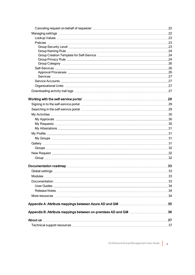| Appendix B: Attribute mappings between on-premises AD and GM 36 |  |
|-----------------------------------------------------------------|--|
|                                                                 |  |
|                                                                 |  |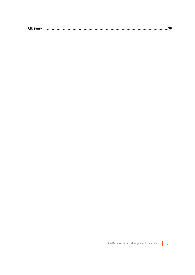| 7122<br>GIG. |  |  |  |
|--------------|--|--|--|
|              |  |  |  |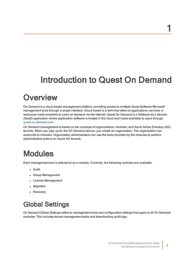# <span id="page-5-0"></span>Introduction to Quest On Demand

# <span id="page-5-1"></span>**Overview**

On Demand is a cloud based management platform, providing access to multiple Quest Software Microsoft management tools through a single interface. Cloud based is a term that refers to applications, services or resources made available to users on demand via the Internet. Quest On Demand is a Software as a Service (SaaS) application where application software is hosted in the cloud and made available to users through [quest-on-demand.com.](http://quest-on-demand.com/)

On Demand management is based on the concepts of organizations, modules, and Azure Active Directory (AD) tenants. When you sign up for the On Demand service, you create an organization. The organization can subscribe to modules. Organization administrators can use the tools provided by the modules to perform administrative actions on Azure AD tenants.

# <span id="page-5-2"></span>Modules

Each management tool is referred to as a module. Currently, the following modules are available:

- Audit
- Group Management
- License Management
- Migration
- Recovery

## <span id="page-5-3"></span>Global Settings

On Demand Global Settings refers to management tools and configuration settings that apply to all On Demand modules. This includes tenant management tasks and downloading audit logs.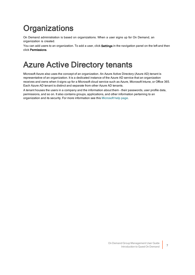# <span id="page-6-0"></span>**Organizations**

On Demand administration is based on organizations. When a user signs up for On Demand, an organization is created.

<span id="page-6-1"></span>You can add users to an organization. To add a user, click Settings in the navigation panel on the left and then click Permissions.

# Azure Active Directory tenants

Microsoft Azure also uses the concept of an organization. An Azure Active Directory (Azure AD) tenant is representative of an organization. It is a dedicated instance of the Azure AD service that an organization receives and owns when it signs up for a Microsoft cloud service such as Azure, Microsoft Intune, or Office 365. Each Azure AD tenant is distinct and separate from other Azure AD tenants.

A tenant houses the users in a company and the information about them - their passwords, user profile data, permissions, and so on. It also contains groups, applications, and other information pertaining to an organization and its security. For more information see this [Microsoft](https://docs.microsoft.com/en-us/azure/active-directory/develop/active-directory-howto-tenant) help page.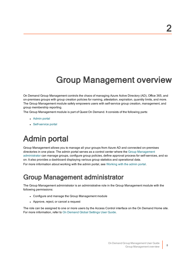# Group Management overview

<span id="page-7-0"></span>On Demand Group Management controls the chaos of managing Azure Active Directory (AD), Office 365, and on-premises groups with group creation policies for naming, attestation, expiration, quantity limits, and more. The Group Management module safely empowers users with self-service group creation, management, and group membership reporting.

The Group Management module is part of Quest On Demand. It consists of the following parts:

- [Admin](#page-7-1) portal
- <span id="page-7-1"></span>• [Self-service](#page-8-0) portal

# Admin portal

Group Management allows you to manage all your groups from Azure AD and connected on-premises directories in one place. The admin portal serves as a control center where the Group [Management](#page-7-2) [administrator](#page-7-2) can manage groups, configure group policies, define approval process for self-services, and so on. It also provides a dashboard displaying various group statistics and operational data.

<span id="page-7-2"></span>For more information about working with the admin portal, see [Working](#page-17-0) with the admin portal.

## Group Management administrator

The Group Management administrator is an administrative role in the Group Management module with the following permissions:

- Configure and manage the Group Management module
- Approve, reject, or cancel a request

The role can be assigned to one or more users by the Access Control interface on the On Demand Home site. For more information, refer to On [Demand](https://support.quest.com/technical-documents/on-demand-global-settings/current/user-guide/) Global Settings User Guide.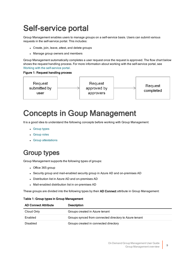# <span id="page-8-0"></span>Self-service portal

Group Management enables users to manage groups on a self-service basis. Users can submit various requests in the self-service portal. This includes:

- Create, join, leave, attest, and delete groups
- Manage group owners and members

Group Management automatically completes a user request once the request is approved. The flow chart below shows the request handling process. For more information about working with the self-service portal, see Working with the [self-service](#page-28-0) portal.

### Figure 1: Request handling process



# <span id="page-8-1"></span>Concepts in Goup Management

It is a good idea to understand the following concepts before working with Group Management:

- [Group](#page-8-2) types
- [Group](#page-10-0) roles
- **.** Group [attestations](#page-10-1)

## <span id="page-8-2"></span>Group types

Group Management supports the following types of groups:

- Office 365 group
- Security group and mail-enabled security group in Azure AD and on-premises AD
- Distribution list in Azure AD and on-premises AD
- Mail-enabled distribution list in on-premises AD

These groups are divided into the following types by their AD Connect attribute in Group Management:

#### Table 1: Group types in Group Management

| <b>AD Connect Attribute</b> | Description                                            |
|-----------------------------|--------------------------------------------------------|
| Cloud Only                  | Groups created in Azure tenant                         |
| Enabled                     | Groups synced from connected directory to Azure tenant |
| Disabled                    | Groups created in connected directory                  |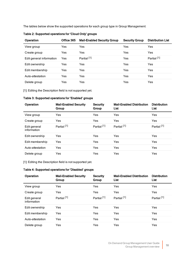The tables below show the supported operations for each group type in Group Management:

| Operation                | Office 365 | <b>Mail-Enabled Security Group</b> | <b>Security Group</b> | <b>Distribution List</b> |
|--------------------------|------------|------------------------------------|-----------------------|--------------------------|
| View group               | Yes        | Yes                                | Yes                   | Yes                      |
| Create group             | Yes        | Yes                                | Yes                   | Yes                      |
| Edit general information | Yes        | Partial <sup>[1]</sup>             | Yes                   | Partial <sup>[1]</sup>   |
| Edit ownership           | Yes        | Yes                                | Yes                   | Yes                      |
| Edit membership          | Yes        | Yes                                | Yes                   | Yes                      |
| Auto-attestation         | Yes        | Yes                                | Yes                   | Yes                      |
| Delete group             | Yes        | Yes                                | Yes                   | Yes                      |

### Table 2: Supported operations for 'Cloud Only' groups

[1]: Editing the Description field is not supported yet.

### Table 3: Supported operations for 'Enabled' groups

| Operation                   | <b>Mail-Enabled Security</b><br>Group | <b>Security</b><br>Group | <b>Mail-Enabled Distribution</b><br>List | <b>Distribution</b><br>List |
|-----------------------------|---------------------------------------|--------------------------|------------------------------------------|-----------------------------|
| View group                  | Yes                                   | Yes                      | Yes                                      | Yes                         |
| Create group                | Yes                                   | Yes                      | Yes                                      | Yes                         |
| Edit general<br>information | Partial <sup>[1]</sup>                | Partial <sup>[1]</sup>   | Partial <sup>[1]</sup>                   | Partial <sup>[1]</sup>      |
| Edit ownership              | Yes                                   | Yes                      | Yes                                      | Yes                         |
| Edit membership             | Yes                                   | Yes                      | Yes                                      | Yes                         |
| Auto-attestation            | Yes                                   | Yes                      | Yes                                      | Yes                         |
| Delete group                | Yes                                   | Yes                      | Yes                                      | Yes                         |

[1]: Editing the Description field is not supported yet.

### Table 4: Supported operations for 'Disabled' groups

| Operation                   | <b>Mail-Enabled Security</b><br>Group | <b>Security</b><br>Group | <b>Mail-Enabled Distribution</b><br>List | <b>Distribution</b><br>List |
|-----------------------------|---------------------------------------|--------------------------|------------------------------------------|-----------------------------|
| View group                  | <b>Yes</b>                            | Yes                      | Yes                                      | Yes                         |
| Create group                | <b>Yes</b>                            | Yes                      | Yes                                      | Yes                         |
| Edit general<br>information | Partial <sup>[1]</sup>                | Partial <sup>[1]</sup>   | Partial <sup>[1]</sup>                   | Partial <sup>[1]</sup>      |
| Edit ownership              | Yes                                   | Yes                      | Yes                                      | Yes                         |
| Edit membership             | <b>Yes</b>                            | Yes                      | Yes                                      | Yes                         |
| Auto-attestation            | <b>Yes</b>                            | Yes                      | Yes                                      | Yes                         |
| Delete group                | Yes                                   | Yes                      | Yes                                      | Yes                         |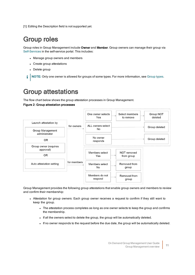<span id="page-10-0"></span>[1]: Editing the Description field is not supported yet.

## Group roles

Group roles in Group Management include Owner and Member. Group owners can manage their group via [Self-Services](#page-25-1) in the self-service portal. This includes:

- Manage group owners and members
- Create group attestations
- Delete group
- <span id="page-10-1"></span>í NOTE: Only one owner is allowed for groups of some types. For more information, see [Group](#page-8-2) types.

## Group attestations

The flow chart below shows the group attestation processes in Group Management.

#### Figure 2: Group attestation processes



Group Management provides the following group attestations that enable group owners and members to review and confirm their membership:

- Attestation for group owners: Each group owner receives a reguest to confirm if they still want to keep the group.
	- The attestation process completes as long as one owner selects to keep the group and confirms the membership.
	- . If all the owners select to delete the group, the group will be automatically deleted.
	- . If no owner responds to the request before the due date, the group will be automatically deleted.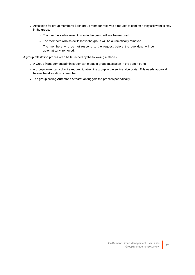- Attestation for group members: Each group member receives a request to confirm if they still want to stay in the group.
	- The members who select to stay in the group will not be removed.
	- The members who select to leave the group will be automatically removed.
	- . The members who do not respond to the request before the due date will be automatically removed.

A group attestation process can be launched by the following methods:

- A Group Management administrator can create a group attestation in the admin portal.
- A group owner can submit a request to attest the group in the self-service portal. This needs approval before the attestation is launched.
- . The group setting Automatic Attestation triggers the process periodically.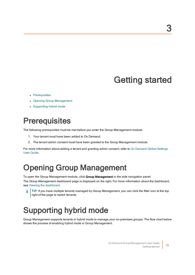# Getting started

- <span id="page-12-0"></span>• [Prerequisites](#page-12-1)
- Opening Group [Management](#page-12-2)
- <span id="page-12-1"></span>• [Supporting](#page-12-3) hybrid mode

# **Prerequisites**

The following prerequisites must be met before you enter the Group Management module:

- 1. Your tenant must have been added to On Demand.
- 2. The tenant admin consent must have been granted to the Group Management module.

<span id="page-12-2"></span>For more information about adding a tenant and granting admin consent, refer to On [Demand](https://support.quest.com/technical-documents/on-demand-global-settings/current/user-guide/) Global Settings User [Guide.](https://support.quest.com/technical-documents/on-demand-global-settings/current/user-guide/)

# Opening Group Management

To open the Group Management module, click Group Management in the side navigation panel. The Group Management dashboard page is displayed on the right. For more information about the dashboard, see Viewing the [dashboard](#page-17-1).

TIP: If you have multiple tenants managed by Group Management, you can click the filter icon at the top right of the page to switch tenants.

# <span id="page-12-3"></span>Supporting hybrid mode

Group Management supports tenants in hybrid mode to manage your on-premises groups. The flow chart below shows the process of enabling hybrid mode in Group Management.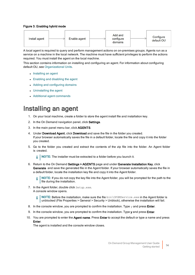### Figure 3: Enabling hybrid mode



A local agent is required to query and perform management actions on on-premises groups. Agents run as a service on a machine in the local network. The machine must have sufficient privileges to perform the actions required. You must install the agent on the local machine.

This section contains information on installing and configuring an agent. For information about configuring default OU, see [Organizational](#page-26-2) Units.

- $\cdot$  [Installing](#page-13-0) an agent
- Enabling and [disabling](#page-14-0) the agent
- Adding and [configuring](#page-14-1) domains
- [Uninstalling](#page-15-0) the agent
- <span id="page-13-0"></span>• Additional agent [commands](#page-15-1)

### Installing an agent

- 1. On your local machine, create a folder to store the agent install file and installation key.
- 2. In the On Demand navigation panel, click Settings.
- 3. In the main panel menu bar, click AGENTS.
- 4. Under Download Agent, click Download and save the file in the folder you created. If your browser automatically saves the file in a default folder, locate the file and copy it into the folder you created.
- 5. Go to the folder you created and extract the contents of the zip file into the folder. An Agent folder is created.

NOTE: The installer must be extracted to a folder before you launch it. f.

6. Return to the On Demand Settings > AGENTS page and under Generate Installation Key, click Generate and save the generated file in the Agent folder. If your browser automatically saves the file in a default folder, locate the installation key file and copy it into the Agent folder.

NOTE: If you do not copy the key file into the Agent folder, you will be prompted for the path to the file during the installation.

7. In the Agent folder, double click Setup.exe. A console window opens.

> NOTE: Before the installation, make sure the file bin\OPGMService.exe in the Agent folder is i unblocked (File Properties > General > Security > Unblock), otherwise the installation will fail.

- 8. In the console window, you are prompted to confirm the installation. Type  $\gamma$  and press **Enter.**
- 9. In the console window, you are prompted to confirm the installation. Type y and press Enter.
- 10. You are prompted to enter the Agent name. Press Enter to accept the default or type a name and press Enter.

The agent is installed and the console window closes.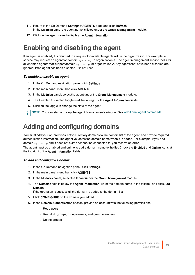- 11. Return to the On Demand Settings > AGENTS page and click Refresh. In the Modules pane, the agent name is listed under the Group Management module.
- <span id="page-14-0"></span>12. Click on the agent name to display the Agent Information.

## Enabling and disabling the agent

If an agent is enabled, it is returned in a request for available agents within the organization. For example, a service may request an agent for domain xyz.corp in organization A. The agent management service looks for all enabled agents that support domain  $xyz$ , corp for organization A. Any agents that have been disabled are ignored. If the agent has been disabled, it is not used.

### To enable or disable an agent

- 1. In the On Demand navigation panel, click Settings.
- 2. In the main panel menu bar, click AGENTS.
- 3. In the Modules panel, select the agent under the Group Management module.
- 4. The Enabled / Disabled toggle is at the top right of the Agent Information fields.
- 5. Click on the toggle to change the state of the agent.
- NOTE: You can start and stop the agent from a console window. See Additional agent [commands.](#page-15-1) i l

## <span id="page-14-1"></span>Adding and configuring domains

You must add your on-premises Active Directory domains to the domain list of the agent, and provide required authentication information. The agent validates the domain name when it is added. For example, if you add domain xyz.corp and it does not exist or cannot be connected to, you receive an error.

The agent must be enabled and online to add a domain name to the list. Check the Enabled and Online icons at the top right of the Agent Information fields.

### To add and configure a domain

- 1. In the On Demand navigation panel, click Settings.
- 2. In the main panel menu bar, click AGENTS.
- 3. In the Modules panel, select the tenant under the Group Management module.
- 4. The Domains field is below the Agent Information. Enter the domain name in the text box and click Add Domain.

If the operation is successful, the domain is added to the domain list.

- 5. Click CONFIGURE on the domain you added.
- 6. In the Domain Authentication section, provide an account with the following permissions:
	- Read users
	- Read/Edit groups, group owners, and group members
	- Delete groups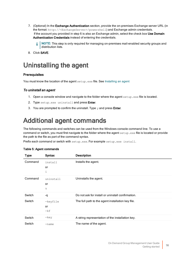- 7. (Optional) In the Exchange Authentication section, provide the on-premises Exchange server URL (in the format: http://<ExchangeServer>/powershell) and Exchange admin credentials. If the account you provided in step 6 is also an Exchange admin, select the check box Use Domain Authentication Credentials instead of entering the credentials.
	- NOTE: This step is only required for managing on-premises mail-enabled security groups and f. distribution lists.
- <span id="page-15-0"></span>8. Click SAVE.

## Uninstalling the agent

### **Prerequisites**

You must know the location of the agent setup.exe file. See [Installing](#page-13-0) an agent

### To uninstall an agent

- 1. Open a console window and navigate to the folder where the agent setup.exe file is located.
- 2. Type setup.exe uninstall and press Enter.
- <span id="page-15-1"></span>3. You are prompted to confirm the uninstall. Type  $y$  and press **Enter**.

## Additional agent commands

The following commands and switches can be used from the Windows console command line. To use a command or switch, you must first navigate to the folder where the agent setup.exe file is located or provide the path to the file as part of the command syntax.

Prefix each command or switch with setup.exe. For example setup.exe install.

| <b>Type</b> | <b>Syntax</b> | <b>Description</b>                                |
|-------------|---------------|---------------------------------------------------|
| Command     | install       | Installs the agent.                               |
|             | or            |                                                   |
|             | i             |                                                   |
| Command     | uninstall     | Uninstalls the agent.                             |
|             | or            |                                                   |
|             | u             |                                                   |
| Switch      | -q            | Do not ask for install or uninstall confirmation. |
| Switch      | -keyfile      | The full path to the agent installation key file. |
|             | or            |                                                   |
|             | $-kf$         |                                                   |
| Switch      | -key          | A string representation of the installation key.  |
| Switch      | $-name$       | The name of the agent.                            |

### Table 5: Agent commands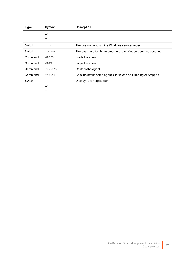| Type    | <b>Syntax</b> | <b>Description</b>                                              |
|---------|---------------|-----------------------------------------------------------------|
|         | or            |                                                                 |
|         | $-n$          |                                                                 |
| Switch  | -user         | The username to run the Windows service under.                  |
| Switch  | -password     | The password for the username of the Windows service account.   |
| Command | start         | Starts the agent.                                               |
| Command | stop          | Stops the agent.                                                |
| Command | restart       | Restarts the agent.                                             |
| Command | status        | Gets the status of the agent. Status can be Running or Stopped. |
| Switch  | $-h$          | Displays the help screen.                                       |
|         | or            |                                                                 |
|         | -?            |                                                                 |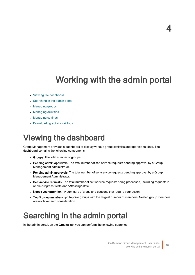# Working with the admin portal

- <span id="page-17-0"></span>• Viewing the [dashboard](#page-17-1)
- [Searching](#page-17-2) in the admin portal
- [Managing](#page-18-0) groups
- [Managing](#page-21-0) activities
- [Managing](#page-21-3) settings
- <span id="page-17-1"></span>• [Downloading](#page-26-3) activity trail logs

# Viewing the dashboard

Group Management provides a dashboard to display various group statistics and operational data. The dashboard contains the following components:

- Groups: The total number of groups.
- Pending admin approvals: The total number of self-service requests pending approval by a Group Management administrator.
- Pending admin approvals: The total number of self-service requests pending approval by a Group Management Administrator.
- Self-service requests: The total number of self-service requests being processed, including requests in an "In-progress" state and "Attesting" state.
- Needs your attention!: A summary of alerts and cautions that require your action.
- Top 5 group membership: Top five groups with the largest number of members. Nested group members are not taken into consideration.

# <span id="page-17-2"></span>Searching in the admin portal

In the admin portal, on the Groups tab, you can perform the following searches: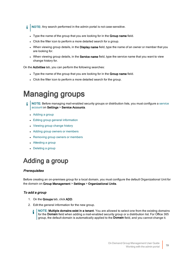f NOTE: Any search performed in the admin portal is not case-sensitive.

- Type the name of the group that you are looking for in the Group name field.
- Click the filter icon to perform a more detailed search for a group.
- When viewing group details, in the Display name field, type the name of an owner or member that you are looking for.
- When viewing group details, in the **Service name** field, type the service name that you want to view change history for.

On the Activities tab, you can perform the following searches:

- Type the name of the group that you are looking for in the Group name field.
- <span id="page-18-0"></span>• Click the filter icon to perform a more detailed search for the group.

# Managing groups

- NOTE: Before managing mail-enabled security groups or distribution lists, you must configure a [service](#page-26-1) [account](#page-26-1) on Settings > Service Accounts.
	- $\bullet$  [Adding](#page-18-1) a group
	- Editing group general [information](#page-19-0)
	- [Viewing](#page-19-1) group change history
	- Adding group owners or [members](#page-19-2)
	- [Removing](#page-20-0) group owners or members
	- [Attesting](#page-20-1) a group
	- $\bullet$  [Deleting](#page-20-2) a group

# <span id="page-18-1"></span>Adding a group

### **Prerequisites**

Before creating an on-premises group for a local domain, you must configure the default Organizational Unit for the domain on Group Management > Settings > Organizational Units.

### To add a group

- 1. On the Groups tab, click ADD.
- 2. Edit the general information for the new group.
	- NOTE: Multiple domains exist in a tenant. You are allowed to select one from the existing domains for the Domain field when adding a mail-enabled security group or a distribution list. For Office 365 group, the default domain is automatically applied to the Domain field, and you cannot change it.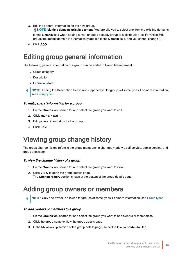3. Edit the general information for the new group.

NOTE: Multiple domains exist in a tenant. You are allowed to select one from the existing domains

for the Domain field when adding a mail-enabled security group or a distribution list. For Office 365 group, the default domain is automatically applied to the Domain field, and you cannot change it.

<span id="page-19-0"></span>4. Click ADD.

## Editing group general information

The following general information of a group can be edited in Group Management:

- Group category
- Description
- Expiration date
- i NOTE: Editing the Description filed is not supported yet for groups of some types. For more information, see [Group](#page-8-2) types.

### To edit general information for a group

- 1. On the Groups tab, search for and select the group you want to edit.
- 2. Click MORE > EDIT.
- 3. Edit general information for the group.
- <span id="page-19-1"></span>4. Click SAVE.

## Viewing group change history

The group change history refers to the group membership changes made via self-service, admin service, and group attestation.

### To view the change history of a group

- 1. On the Groups tab, search for and select the group you want to view.
- 2. Click VIEW to open the group details page. The Change History section shows at the bottom of the group details page.

## <span id="page-19-2"></span>Adding group owners or members

i l NOTE: Only one owner is allowed for groups of some types. For more information, see [Group](#page-8-2) types.

### To add owners or members to a group

- 1. On the Groups tab, search for and select the group you want to add owners or members to.
- 2. Click the group name to view the group details page.
- 3. In the Membership section of the group details page, select the Owner or Member tab.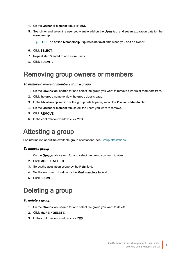- 4. On the Owner or Member tab, click ADD.
- 5. Search for and select the user you want to add on the Users tab, and set an expiration date for the membership.

TIP: The option Membership Expires is not available when you add an owner.

- 6. Click SELECT.
- 7. Repeat step 3 and 4 to add more users.
- <span id="page-20-0"></span>8. Click SUBMIT.

## Removing group owners or members

### To remove owners or members from a group

- 1. On the Groups tab, search for and select the group you want to remove owners or members from.
- 2. Click the group name to view the group details page.
- 3. In the Membership section of the group details page, select the Owner or Member tab.
- 4. On the Owner or Member tab, select the users you want to remove.
- 5. Click REMOVE.
- <span id="page-20-1"></span>6. In the confirmation window, click YES.

## Attesting a group

For information about the available group attestations, see Group [attestations](#page-10-1).

### To attest a group

- 1. On the Groups tab, search for and select the group you want to attest.
- 2. Click MORE > ATTEST.
- 3. Select the attestation scope by the Role field.
- 4. Set the maximum duration by the Must complete in field.
- <span id="page-20-2"></span>5. Click SUBMIT.

## Deleting a group

### To delete a group

- 1. On the Groups tab, search for and select the group you want to delete.
- 2. Click MORE > DELETE.
- 3. In the confirmation window, click YES.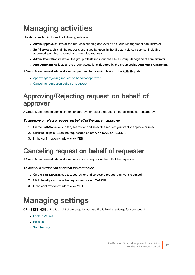# <span id="page-21-0"></span>Managing activities

The Activities tab includes the following sub tabs:

- Admin Approvals: Lists all the requests pending approval by a Group Management administrator.
- Self-Services: Lists all the requests submitted by users in the directory via self-service, including approved, pending, rejected, and canceled requests.
- Admin Attestations: Lists all the group attestations launched by a Group Management administrator.
- Auto Attestations: Lists all the group attestations triggered by the group setting Automatic Attestation.

A Group Management administrator can perform the following tasks on the Activities tab:

- [Approving/Rejecting](#page-21-1) request on behalf of approver
- [Canceling](#page-21-2) request on behalf of requester

## <span id="page-21-1"></span>Approving/Rejecting request on behalf of approver

A Group Management administrator can approve or reject a request on behalf of the current approver.

### To approve or reject a request on behalf of the current approver

- 1. On the Self-Services sub tab, search for and select the request you want to approve or reject.
- 2. Click the ellipsis (...) on the request and select **APPROVE** or **REJECT**.
- <span id="page-21-2"></span>3. In the confirmation window, click YES.

## Canceling request on behalf of requester

A Group Management administrator can cancel a request on behalf of the requester.

### To cancel a request on behalf of the requester

- 1. On the Self-Services sub tab, search for and select the request you want to cancel.
- 2. Click the ellipsis (...) on the request and select CANCEL.
- <span id="page-21-3"></span>3. In the confirmation window, click YES.

# Managing settings

Click SETTINGS at the top right of the page to manage the following settings for your tenant:

- [Lookup](#page-22-0) Values
- [Policies](#page-22-1)
- **[Self-Services](#page-25-1)**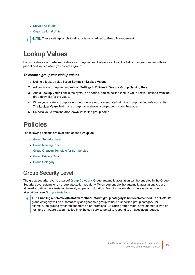- Service [Accounts](#page-26-1)
- **.** [Organizational](#page-26-2) Units
- NOTE: These settings apply to all your tenants added to Group Management. i

## <span id="page-22-0"></span>Lookup Values

Lookup values are predefined values for group names. It allows you to fill the fields in a group name with your predefined values when you create a group.

### To create a group with lookup values

- 1. Define a lookup value list on Settings > Lookup Values.
- 2. Add or edit a group naming rule on Settings > Policies > Group > Group Naming Rule.
- 3. Add a Lookup Value field in the syntax as needed, and select the lookup value list you defined from the drop-down list for the value.
- 4. When you create a group, select the group category associated with the group naming rule you edited. The Lookup Value field in the group name shows a drop-down list on the page.
- <span id="page-22-1"></span>5. Select a value from the drop-down list for the group name.

## Policies

The following settings are available on the Group tab:

- **.** Group [Security](#page-22-2) Level
- **.** Group [Naming](#page-23-0) Rule
- **.** Group Creation Template for [Self-Service](#page-23-1)
- **.** Group [Privacy](#page-23-2) Rule
- Group [Category](#page-25-0)

### <span id="page-22-2"></span>Group Security Level

The group security level is a part of Group [Category](#page-25-0). Group automatic attestation can be enabled in the Group Security Level setting to run group attestation regularly. When you enable the automatic attestation, you are allowed to define the attestation interval, scope, and duration. For information about the available group attestations, see Group [attestations.](#page-10-1)

TIP: Enabling automatic attestation for the "Default" group category is not recommended. The "Default" group category will be automatically assigned to a group without a specified group category, for example, the groups synchronized from an on-premises AD. Such groups might have members who do not have an Azure account to log in to the self-service portal to respond to an attestation request.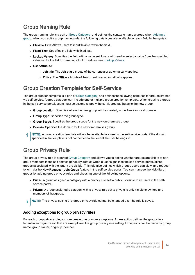### <span id="page-23-0"></span>Group Naming Rule

The group naming rule is a part of Group [Category](#page-25-0), and defines the syntax to name a group when [Adding](#page-18-1) a [group](#page-18-1). When you edit a group naming rule, the following data types are available for each field in the syntax:

- Flexible Text: Allows users to input flexible text in the field.
- Fixed Text: Specifies the field with fixed text.
- Lookup Values: Specifies the field with a value set. Users will need to select a value from the specified value set for the field. To manage lookup values, see [Lookup](#page-22-0) Values.
- User Attribute
	- Job title: The Job title attribute of the current user automatically applies.
	- Office: The Office attribute of the current user automatically applies.

### <span id="page-23-1"></span>Group Creation Template for Self-Service

The group creation template is a part of Group [Category,](#page-25-0) and defines the following attributes for groups created via self-service. A group category can include one or multiple group creation templates. When creating a group in the self-service portal, users must select one to apply the configured attributes to the new group.

- Group Location: Specifies where the new group will be created, in the Azure or local domain.
- Group Type: Specifies the group type.
- Group Scope: Specifies the group scope for the new on-premises group.
- Domain: Specifies the domain for the new on-premises group.
- NOTE: A group creation template will not be available to a user in the self-service portal if the domain specified in the template is not connected to the tenant the user belongs to.

### <span id="page-23-2"></span>Group Privacy Rule

The group privacy rule is a part of Group [Category](#page-25-0) and allows you to define whether groups are visible to nongroup members in the self-service portal. By default, when a user signs in to the self-service portal, all the groups associated with the tenant are visible. This rule also defines which groups users can view, and request to join, via the New Request > Join Group feature in the self-service portal. You can manage the visibility of groups by adding group privacy rules and choosing one of the following options:

- Public: A group assigned a category with a privacy rule set to public is visible to all users in the selfservice portal.
- Private: A group assigned a category with a privacy rule set to private is only visible to owners and members of that group.

i NOTE: The privacy setting of a group privacy rule cannot be changed after the rule is saved.

### Adding exceptions to group privacy rules

For each group privacy rule, you can create one or more exceptions. An exception defines the groups in a tenant in an organization that are exempt from the group privacy rule setting. Exceptions can be made by group name, group owner, or group member.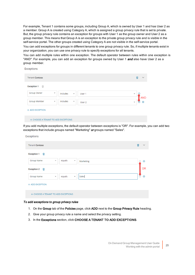For example, Tenant 1 contains some groups, including Group A, which is owned by User 1 and has User 2 as a member. Group A is created using Category A, which is assigned a group privacy rule that is set to private. But, the group privacy rule contains an exception for groups with User 1 as the group owner and User 2 as a group member. This means that Group A is an exception to the private group privacy rule and is visible in the self-service portal. The other groups created using Category A are not visible in the self-service portal.

You can add exceptions for groups in different tenants to one group privacy rule. So, if multiple tenants exist in your organization, you can use one privacy rule to specify exceptions for all tenants.

You can add multiple rules within one exception. The default operator between rules within one exception is "AND". For example, you can add an exception for groups owned by User 1 and also have User 2 as a group member.

**Exceptions** 

| <b>Tenant Contoso</b>                           |                                                | $\checkmark$                           |
|-------------------------------------------------|------------------------------------------------|----------------------------------------|
| <b>Exception 1</b><br>面                         |                                                |                                        |
| <b>Group Owner</b><br>$\overline{\phantom{a}}$  | includes<br>User 1<br>$\mathbf{v}$             | $\overline{\phantom{a}}$<br><b>AND</b> |
| <b>Group Member</b><br>$\overline{\phantom{a}}$ | includes<br>$\overline{\phantom{a}}$<br>User 2 | $\bigoplus$<br>Θ                       |
| + ADD EXCEPTION                                 |                                                |                                        |
| + CHOOSE A TENANT TO ADD EXCEPTIONS             |                                                |                                        |

If you add multiple exceptions, the default operator between exceptions is "OR". For example, you can add two exceptions that include groups named "Marketing" or groups named "Sales".

### Exceptions **Tenant Contoso Exception 1** 偏 **Group Name** equals Marketing  $\bigoplus$ 0R **Exception 2** 偏 equals Sales  $\bigoplus$ **Group Name** + ADD EXCEPTION + CHOOSE A TENANT TO ADD EXCEPTIONS

### To add exceptions to group privacy rules

- 1. On the Group tab of the Policies page, click ADD next to the Group Privacy Rule heading.
- 2. Give your group privacy rule a name and select the privacy setting.
- 3. In the Exceptions section, click CHOOSE A TENANT TO ADD EXCEPTIONS.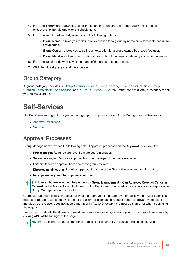- 4. From the Tenant drop-down list, select the tenant that contains the groups you want to add as exceptions to the rule and click the check mark.
- 5. From the first drop-down list, select one of the following options:
	- Group Name allows you to define an exception for a group by name or by text contained in the group name.
	- Group Owner allows you to define an exception for a group owned by a specified user.
	- Group Member allows you to define an exception for a group containing a specified member.
- 6. From the last drop-down list, type the name of the group or select the user.
- 7. Click the plus sign (+) to add the exception.

### <span id="page-25-0"></span>Group Category

A group category includes a Group [Security](#page-22-2) Level, a Group [Naming](#page-23-0) Rule, one or multiple [Group](#page-23-1) Creation Template for [Self-Service](#page-23-1), and a Group [Privacy](#page-23-2) Rule. You must specify a group category when you create a group.

## <span id="page-25-1"></span>Self-Services

The Self-Services page allows you to manage approval processes for Group Management self-services.

- **Approval [Processes](#page-25-2)**
- **.** [Services](#page-26-0)

### <span id="page-25-2"></span>Approval Processes

Group Management provides the following default approval processes on the Approval Processes tab:

- First manager: Requires approval from the user's manager.
- Second manager: Requires approval from the manager of the user's manager.
- Owner: Requires approval from one of the group owners.
- Directory administrator: Requires approval from one of the Group Management administrators.
- No approval required: No approval is required.
- i TIP: Users who are assigned the permission Group Management > Can Approve, Reject or Cancel a Request by the Access Control interface on the On Demand Home site can also approve a request as a Group Management administrator.

Group Management checks the availability of the approvers in the approval process when a user submits a request. If an approver is not available for the user (for example, a request needs approval by the user's manager, but the user does not have a manager in Active Directory), the user gets an error when submitting the request.

You can edit or delete the default approval processes if necessary, or create your own approval processes by clicking ADD at the top right of the page.

NOTE: You cannot delete an approval process that is currently associated with a self-service.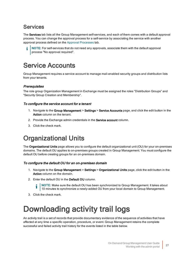### <span id="page-26-0"></span>**Services**

The Services tab lists all the Group Management self-services, and each of them comes with a default approval process. You can change the approval process for a self-service by associating the service with another approval process defined on the Approval [Processes](#page-25-2) tab.

NOTE: For self-services that do not need any approvals, associate them with the default approval process "No approval required".

## <span id="page-26-1"></span>Service Accounts

Group Management requires a service account to manage mail-enabled security groups and distribution lists from your tenants.

### **Prerequisites**

The role group Organization Management in Exchange must be assigned the roles "Distribution Groups" and "Security Group Creation and Membership".

### To configure the service account for a tenant

- 1. Navigate to the Group Management > Settings > Service Accounts page, and click the edit button in the Action column on the tenant.
- 2. Provide the Exchange admin credentials in the **Service account** column.
- <span id="page-26-2"></span>3. Click the check mark.

## Organizational Units

The Organizational Units page allows you to configure the default organizational unit (OU) for your on-premises domains. The default OU applies to on-premises groups created in Group Management. You must configure the default OU before creating groups for an on-premises domain.

### To configure the default OU for an on-premises domain

- 1. Navigate to the Group Management > Settings > Organizational Units page, click the edit button in the Action column on the domain.
- 2. Enter the default OU in the Default OU column.
	- NOTE: Make sure the default OU has been synchronized to Group Management. It takes about 10 minutes to synchronize a newly-added OU from your local domain to Group Management.
- <span id="page-26-3"></span>3. Click the check mark.

# Downloading activity trail logs

An activity trail is a set of records that provide documentary evidence of the sequence of activities that have affected at any time a specific operation, procedure, or event. Group Management retains the complete successful and failed activity trail history for the events listed in the table below.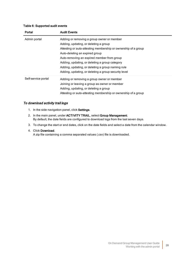### Table 6: Supported audit events

| Portal              | <b>Audit Events</b>                                            |
|---------------------|----------------------------------------------------------------|
| Admin portal        | Adding or removing a group owner or member                     |
|                     | Adding, updating, or deleting a group                          |
|                     | Attesting or auto-attesting membership or ownership of a group |
|                     | Auto-deleting an expired group                                 |
|                     | Auto-removing an expired member from group                     |
|                     | Adding, updating, or deleting a group category                 |
|                     | Adding, updating, or deleting a group naming rule              |
|                     | Adding, updating, or deleting a group security level           |
| Self-service portal | Adding or removing a group owner or member                     |
|                     | Joining or leaving a group as owner or member                  |
|                     | Adding, updating, or deleting a group                          |
|                     | Attesting or auto-attesting membership or ownership of a group |

### To download activity trail logs

- 1. In the side navigation panel, click Settings.
- 2. In the main panel, under ACTIVITY TRAIL, select Group Management. By default, the date fields are configured to download logs from the last seven days.
- 3. To change the start or end dates, click on the date fields and select a date from the calendar window.
- 4. Click Download.

A zip file containing a comma separated values (.csv) file is downloaded.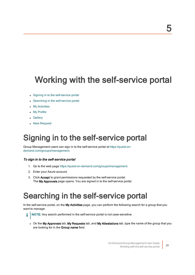# <span id="page-28-0"></span>Working with the self-service portal

- Signing in to the [self-service](#page-28-1) portal
- Searching in the [self-service](#page-28-2) portal
- My [Activities](#page-29-0)
- My [Profile](#page-30-1)
- [Gallery](#page-30-3)

i

<span id="page-28-1"></span>• New [Request](#page-31-1)

# Signing in to the self-service portal

Group Management users can sign in to the self-service portal at [https://quest-on](https://quest-on-demand.com/groups/management)[demand.com/groups/management.](https://quest-on-demand.com/groups/management)

### To sign in to the self-service portal

- 1. Go to the web page <https://quest-on-demand.com/groups/management>.
- 2. Enter your Azure account.
- <span id="page-28-2"></span>3. Click Accept to grant permissions requested by the self-service portal. The My Approvals page opens. You are signed in to the self-service portal.

# Searching in the self-service portal

In the self-service portal, on the My Activities page, you can perform the following search for a group that you want to manage:

- NOTE: Any search performed in the self-service portal is not case-sensitive.
- On the My Approvals tab, My Requests tab, and My Attestations tab, type the name of the group that you are looking for in the Group name field.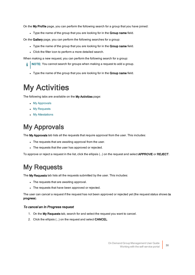On the My Profile page, you can perform the following search for a group that you have joined:

Type the name of the group that you are looking for in the Group name field.

On the Gallery page, you can perform the following searches for a group:

- Type the name of the group that you are looking for in the Group name field.
- Click the filter icon to perform a more detailed search.

When making a new request, you can perform the following search for a group:

- NOTE: You cannot search for groups when making a request to add a group. i
	- Type the name of the group that you are looking for in the Group name field.

# <span id="page-29-0"></span>My Activities

The following tabs are available on the My Activities page:

- My [Approvals](#page-29-1)
- My [Requests](#page-29-2)
- My [Attestations](#page-30-0)

## <span id="page-29-1"></span>My Approvals

The My Approvals tab lists all the requests that require approval from the user. This includes:

- The requests that are awaiting approval from the user.
- The requests that the user has approved or rejected.

<span id="page-29-2"></span>To approve or reject a request in the list, click the ellipsis (...) on the request and select APPROVE or REJECT.

## My Requests

The My Requests tab lists all the requests submitted by the user. This includes:

- The requests that are awaiting approval.
- The requests that have been approved or rejected.

The user can cancel a request if the request has not been approved or rejected yet (the request status shows In progress).

### To cancel an In Progress request

- 1. On the My Requests tab, search for and select the request you want to cancel.
- 2. Click the ellipsis (...) on the request and select CANCEL.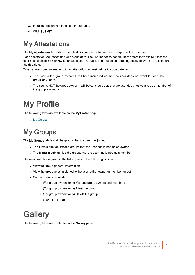- 3. Input the reason you canceled the request.
- <span id="page-30-0"></span>4. Click SUBMIT.

## My Attestations

The My Attestations tab lists all the attestation requests that require a response from the user.

Each attestation request comes with a due date. The user needs to handle them before they expire. Once the user has selected YES or NO for an attestation request, it cannot be changed again, even when it is still before the due date.

When a user does not respond to an attestation request before the due date, and

- The user is the group owner: It will be considered as that the user does not want to keep the group any more.
- The user is NOT the group owner: It will be considered as that the user does not want to be a member of the group any more.

# <span id="page-30-1"></span>My Profile

The following tabs are available on the My Profile page:

• My [Groups](#page-30-2)

## <span id="page-30-2"></span>My Groups

The My Groups tab lists all the groups that the user has joined:

- The Owner sub tab lists the groups that the user has joined as an owner.
- The Member sub tab lists the groups that the user has joined as a member.

The user can click a group in the list to perform the following actions:

- View the group general information
- View the group roles assigned to the user: either owner or member, or both
- Submit various requests:
	- (For group owners only) Manage group owners and members
	- (For group owners only) Attest the group
	- (For group owners only) Delete the group
	- Leave the group

# <span id="page-30-3"></span>**Gallery**

The following tabs are available on the Gallery page: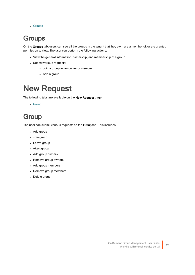<span id="page-31-0"></span>• [Groups](#page-31-0)

## **Groups**

On the Groups tab, users can see all the groups in the tenant that they own, are a member of, or are granted permission to view. The user can perform the following actions:

- View the general information, ownership, and membership of a group
- Submit various requests:
	- Join a group as an owner or member
	- $\bullet$  Add a group

## <span id="page-31-1"></span>New Request

The following tabs are available on the New Request page:

<span id="page-31-2"></span>• [Group](#page-31-2)

## **Group**

The user can submit various requests on the Group tab. This includes:

- Add group
- Join group
- Leave group
- Attest group
- Add group owners
- Remove group owners
- Add group members
- Remove group members
- Delete group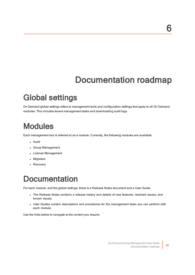# Documentation roadmap

# <span id="page-32-1"></span><span id="page-32-0"></span>Global settings

On Demand global settings refers to management tools and configuration settings that apply to all On Demand modules. This includes tenant management tasks and downloading audit logs.

# <span id="page-32-2"></span>**Modules**

Each management tool is referred to as a module. Currently, the following modules are available:

- Audit
- Group Management
- License Management
- Migration
- <span id="page-32-3"></span>• Recovery

# **Documentation**

For each module, and the global settings, there is a Release Notes document and a User Guide.

- The Release Notes contains a release history and details of new features, resolved issues, and known issues.
- User Guides contain descriptions and procedures for the management tasks you can perform with each module.

Use the links below to navigate to the content you require.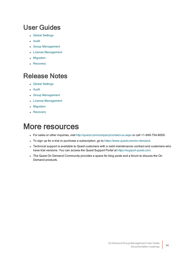## <span id="page-33-0"></span>User Guides

- Global [Settings](https://support.quest.com/technical-documents/on-demand-global-settings/current/user-guide/)
- [Audit](https://support.quest.com/technical-documents/on-demand-audit/current/user-guide)
- **.** Group [Management](http://support.quest.com/technical-documents/on-demand-group-management/current/user-guide/)
- License [Management](https://support.quest.com/technical-documents/on-demand-license-management/current/user-guide/)
- [Migration](https://support.quest.com/technical-documents/on-demand-migration/current/administrator-guide)
- [Recovery](https://support.quest.com/technical-documents/on-demand-recovery-for-azure-active-directory/current/user-guide/)

## <span id="page-33-1"></span>Release Notes

- Global [Settings](https://support.quest.com/technical-documents/on-demand-global-settings/current/release-notes/)
- [Audit](https://support.quest.com/technical-documents/on-demand-audit/current/release-notes)
- Group [Management](http://support.quest.com/technical-documents/on-demand-group-management/current/release-notes/)
- License [Management](http://support.quest.com/technical-documents/on-demand-license-management/release-notes/release-notes)
- [Migration](https://support.quest.com/technical-documents/on-demand-migration/current/release-notes)
- <span id="page-33-2"></span>• [Recovery](https://support.quest.com/technical-documents/on-demand-recovery-for-azure-active-directory/current/release-notes/)

# More resources

- For sales or other inquiries, visit <http://quest.com/company/contact-us.aspx> or call +1-949-754-8000.
- To sign up for a trial or purchase a subscription, go to <https://www.quest.com/on-demand>.
- Technical support is available to Quest customers with a valid maintenance contract and customers who have trial versions. You can access the Quest Support Portal at [https://support.quest.com.](https://support.quest.com/)
- The Quest On Demand Community provides a space for blog posts and a forum to disucss the On Demand products.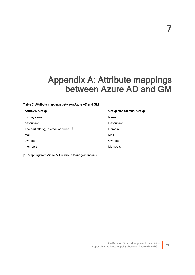# <span id="page-34-0"></span>Appendix A: Attribute mappings between Azure AD and GM

### Table 7: Attribute mappings between Azure AD and GM

| Azure AD Group                            | <b>Group Management Group</b> |
|-------------------------------------------|-------------------------------|
| displayName                               | Name                          |
| description                               | Description                   |
| The part after $@$ in email address $[1]$ | Domain                        |
| mail                                      | Mail                          |
| owners                                    | Owners                        |
| members                                   | <b>Members</b>                |

[1]: Mapping from Azure AD to Group Management only.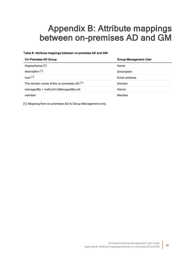# <span id="page-35-0"></span>Appendix B: Attribute mappings between on-premises AD and GM

### Table 8: Attribute mappings between on-premises AD and GM

| <b>On-Premises AD Group</b>                          | <b>Group Management User</b> |
|------------------------------------------------------|------------------------------|
| displayName [1]                                      | Name                         |
| description [1]                                      | Description                  |
| mail $[1]$                                           | Email address                |
| The domain name of the on-premises AD <sup>[1]</sup> | Domain                       |
| managedBy + msExchCoManagedByLink                    | Owner                        |
| member                                               | Member                       |

[1]: Mapping from on-premises AD to Group Management only.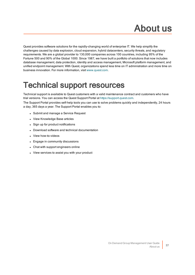# About us

<span id="page-36-0"></span>Quest provides software solutions for the rapidly-changing world of enterprise IT. We help simplify the challenges caused by data explosion, cloud expansion, hybrid datacenters, security threats, and regulatory requirements. We are a global provider to 130,000 companies across 100 countries, including 95% of the Fortune 500 and 90% of the Global 1000. Since 1987, we have built a portfolio of solutions that now includes database management, data protection, identity and access management, Microsoft platform management, and unified endpoint management. With Quest, organizations spend less time on IT administration and more time on business innovation. For more information, visit [www.quest.com](https://www.quest.com/company/contact-us.aspx).

# <span id="page-36-1"></span>Technical support resources

Technical support is available to Quest customers with a valid maintenance contract and customers who have trial versions. You can access the Quest Support Portal at [https://support.quest.com](https://support.quest.com/).

The Support Portal provides self-help tools you can use to solve problems quickly and independently, 24 hours a day, 365 days a year. The Support Portal enables you to:

- Submit and manage a Service Request
- View Knowledge Base articles
- Sign up for product notifications
- Download software and technical documentation
- View how-to-videos
- Engage in community discussions
- Chat with support engineers online
- View services to assist you with your product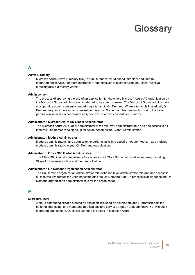# **Glossary**

### <span id="page-37-0"></span>A

### Active Directory

Microsoft Azure Active Directory (AD) is a multi-tenant, cloud based, directory and identity management service. For more information, see https://docs.microsoft.com/en-us/azure/activedirectory/active-directory-whatis

### Admin consent

The process of approving the use of an application for the whole Microsoft Azure AD organization by the Microsoft Global administrator is referred to as admin consent. The Microsoft Global administrator must provide admin consent when adding a tenant to On Demand. When a tenant is first added, On Demand requests base admin consent permissions. Some modules can function using the base permission set while other require a higher level of admin consent permissions.

### Administrator: Microsoft Azure AD Global Administrator

The Microsoft Azure AD Global administrator is the top level administrator role and has access to all features. The person who signs up for Azure becomes the Global Administrator.

#### Administrator: Module Administrator

Module administrators have permission to perform tasks in a specific module. You can add multiple module administrators to your On Demand organization.

### Administrator: Office 365 Global Administrator

The Office 365 Global administrator has access to all Office 365 administrative features, including Skype for Business Online and Exchange Online

#### Administrator: On Demand Organization Administrator

The On Demand organization administrator role is the top level administrator role and has access to all features. By default, the user that completes the On Demand Sign Up process is assigned to the On Demand organization administrator role for the organization.

### M

### Microsoft Azure

A cloud computing service created by Microsoft. It is used by developers and IT professionals for building, deploying, and managing applications and services through a global network of Microsoftmanaged data centers. Quest On Demand is hosted in Microsoft Azure.